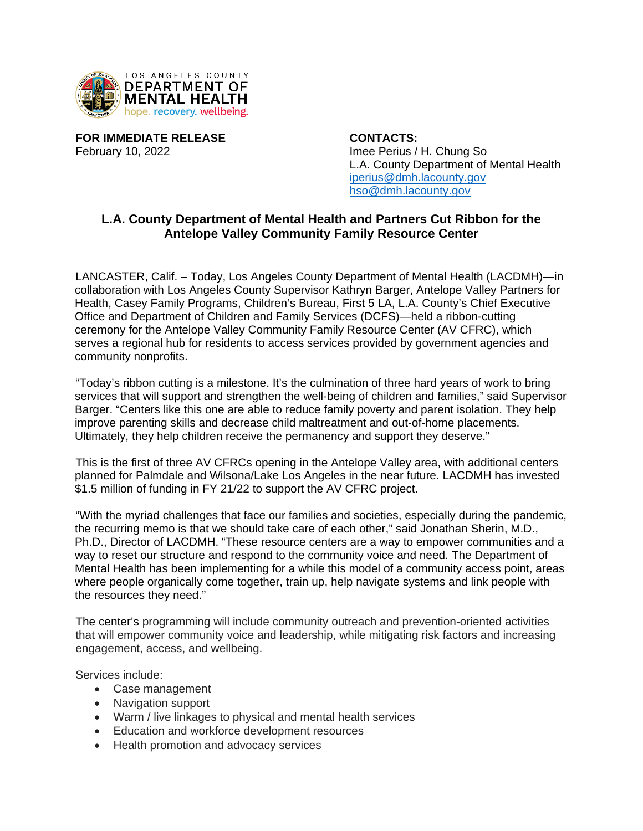

**FOR IMMEDIATE RELEASE CONTACTS:** February 10, 2022 **Imee Perius / H. Chung So** 

L.A. County Department of Mental Health [iperius@dmh.lacounty.gov](mailto:iperius@dmh.lacounty.gov) [hso@dmh.lacounty.gov](mailto:hso@dmh.lacounty.gov)

## **L.A. County Department of Mental Health and Partners Cut Ribbon for the Antelope Valley Community Family Resource Center**

LANCASTER, Calif. – Today, Los Angeles County Department of Mental Health (LACDMH)—in collaboration with Los Angeles County Supervisor Kathryn Barger, Antelope Valley Partners for Health, Casey Family Programs, Children's Bureau, First 5 LA, L.A. County's Chief Executive Office and Department of Children and Family Services (DCFS)—held a ribbon-cutting ceremony for the Antelope Valley Community Family Resource Center (AV CFRC), which serves a regional hub for residents to access services provided by government agencies and community nonprofits.

"Today's ribbon cutting is a milestone. It's the culmination of three hard years of work to bring services that will support and strengthen the well-being of children and families," said Supervisor Barger. "Centers like this one are able to reduce family poverty and parent isolation. They help improve parenting skills and decrease child maltreatment and out-of-home placements. Ultimately, they help children receive the permanency and support they deserve."

This is the first of three AV CFRCs opening in the Antelope Valley area, with additional centers planned for Palmdale and Wilsona/Lake Los Angeles in the near future. LACDMH has invested \$1.5 million of funding in FY 21/22 to support the AV CFRC project.

"With the myriad challenges that face our families and societies, especially during the pandemic, the recurring memo is that we should take care of each other," said Jonathan Sherin, M.D., Ph.D., Director of LACDMH. "These resource centers are a way to empower communities and a way to reset our structure and respond to the community voice and need. The Department of Mental Health has been implementing for a while this model of a community access point, areas where people organically come together, train up, help navigate systems and link people with the resources they need."

The center's programming will include community outreach and prevention-oriented activities that will empower community voice and leadership, while mitigating risk factors and increasing engagement, access, and wellbeing.

Services include:

- Case management
- Navigation support
- Warm / live linkages to physical and mental health services
- **Education and workforce development resources**
- Health promotion and advocacy services